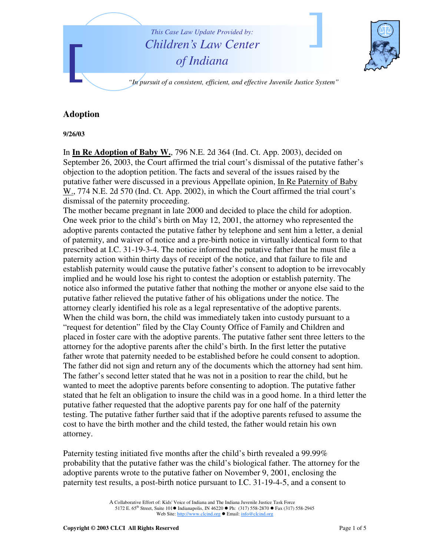

## **Adoption**

**9/26/03**

In **In Re Adoption of Baby W.**, 796 N.E. 2d 364 (Ind. Ct. App. 2003), decided on September 26, 2003, the Court affirmed the trial court's dismissal of the putative father's objection to the adoption petition. The facts and several of the issues raised by the putative father were discussed in a previous Appellate opinion, In Re Paternity of Baby W., 774 N.E. 2d 570 (Ind. Ct. App. 2002), in which the Court affirmed the trial court's dismissal of the paternity proceeding.

The mother became pregnant in late 2000 and decided to place the child for adoption. One week prior to the child's birth on May 12, 2001, the attorney who represented the adoptive parents contacted the putative father by telephone and sent him a letter, a denial of paternity, and waiver of notice and a pre-birth notice in virtually identical form to that prescribed at I.C. 31-19-3-4. The notice informed the putative father that he must file a paternity action within thirty days of receipt of the notice, and that failure to file and establish paternity would cause the putative father's consent to adoption to be irrevocably implied and he would lose his right to contest the adoption or establish paternity. The notice also informed the putative father that nothing the mother or anyone else said to the putative father relieved the putative father of his obligations under the notice. The attorney clearly identified his role as a legal representative of the adoptive parents. When the child was born, the child was immediately taken into custody pursuant to a "request for detention" filed by the Clay County Office of Family and Children and placed in foster care with the adoptive parents. The putative father sent three letters to the attorney for the adoptive parents after the child's birth. In the first letter the putative father wrote that paternity needed to be established before he could consent to adoption. The father did not sign and return any of the documents which the attorney had sent him. The father's second letter stated that he was not in a position to rear the child, but he wanted to meet the adoptive parents before consenting to adoption. The putative father stated that he felt an obligation to insure the child was in a good home. In a third letter the putative father requested that the adoptive parents pay for one half of the paternity testing. The putative father further said that if the adoptive parents refused to assume the cost to have the birth mother and the child tested, the father would retain his own attorney.

Paternity testing initiated five months after the child's birth revealed a 99.99% probability that the putative father was the child's biological father. The attorney for the adoptive parents wrote to the putative father on November 9, 2001, enclosing the paternity test results, a post-birth notice pursuant to I.C. 31-19-4-5, and a consent to

> A Collaborative Effort of: Kids' Voice of Indiana and The Indiana Juvenile Justice Task Force 5172 E. 65<sup>th</sup> Street, Suite 101 ■ Indianapolis, IN 46220 ● Ph: (317) 558-2870 ● Fax (317) 558-2945 Web Site: http://www.clcind.org ● Email: info@clcind.org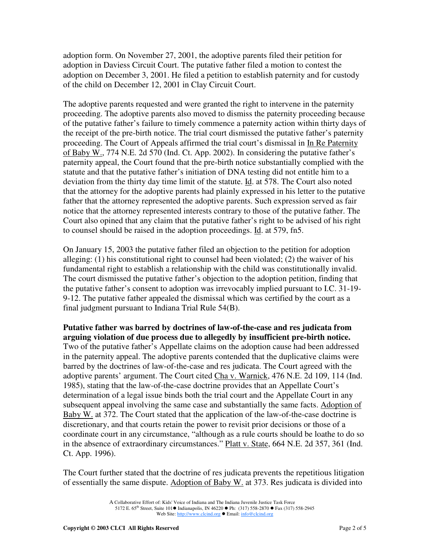adoption form. On November 27, 2001, the adoptive parents filed their petition for adoption in Daviess Circuit Court. The putative father filed a motion to contest the adoption on December 3, 2001. He filed a petition to establish paternity and for custody of the child on December 12, 2001 in Clay Circuit Court.

The adoptive parents requested and were granted the right to intervene in the paternity proceeding. The adoptive parents also moved to dismiss the paternity proceeding because of the putative father's failure to timely commence a paternity action within thirty days of the receipt of the pre-birth notice. The trial court dismissed the putative father's paternity proceeding. The Court of Appeals affirmed the trial court's dismissal in In Re Paternity of Baby W., 774 N.E. 2d 570 (Ind. Ct. App. 2002). In considering the putative father's paternity appeal, the Court found that the pre-birth notice substantially complied with the statute and that the putative father's initiation of DNA testing did not entitle him to a deviation from the thirty day time limit of the statute. Id. at 578. The Court also noted that the attorney for the adoptive parents had plainly expressed in his letter to the putative father that the attorney represented the adoptive parents. Such expression served as fair notice that the attorney represented interests contrary to those of the putative father. The Court also opined that any claim that the putative father's right to be advised of his right to counsel should be raised in the adoption proceedings. Id. at 579, fn5.

On January 15, 2003 the putative father filed an objection to the petition for adoption alleging: (1) his constitutional right to counsel had been violated; (2) the waiver of his fundamental right to establish a relationship with the child was constitutionally invalid. The court dismissed the putative father's objection to the adoption petition, finding that the putative father's consent to adoption was irrevocably implied pursuant to I.C. 31-19- 9-12. The putative father appealed the dismissal which was certified by the court as a final judgment pursuant to Indiana Trial Rule 54(B).

**Putative father was barred by doctrines of law-of-the-case and res judicata from arguing violation of due process due to allegedly by insufficient pre-birth notice.** Two of the putative father's Appellate claims on the adoption cause had been addressed in the paternity appeal. The adoptive parents contended that the duplicative claims were barred by the doctrines of law-of-the-case and res judicata. The Court agreed with the adoptive parents' argument. The Court cited Cha v. Warnick, 476 N.E. 2d 109, 114 (Ind. 1985), stating that the law-of-the-case doctrine provides that an Appellate Court's determination of a legal issue binds both the trial court and the Appellate Court in any subsequent appeal involving the same case and substantially the same facts. Adoption of Baby W. at 372. The Court stated that the application of the law-of-the-case doctrine is discretionary, and that courts retain the power to revisit prior decisions or those of a coordinate court in any circumstance, "although as a rule courts should be loathe to do so in the absence of extraordinary circumstances." Platt v. State, 664 N.E. 2d 357, 361 (Ind. Ct. App. 1996).

The Court further stated that the doctrine of res judicata prevents the repetitious litigation of essentially the same dispute. Adoption of Baby W. at 373. Res judicata is divided into

A Collaborative Effort of: Kids' Voice of Indiana and The Indiana Juvenile Justice Task Force 5172 E. 65<sup>th</sup> Street, Suite 101 ■ Indianapolis, IN 46220 ● Ph: (317) 558-2870 ● Fax (317) 558-2945 Web Site: http://www.clcind.org ● Email: info@clcind.org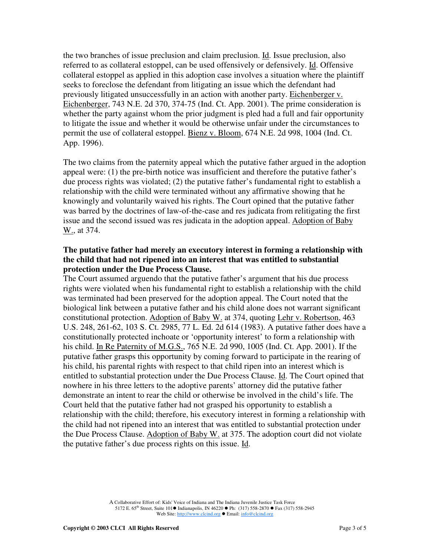the two branches of issue preclusion and claim preclusion. Id. Issue preclusion, also referred to as collateral estoppel, can be used offensively or defensively. Id. Offensive collateral estoppel as applied in this adoption case involves a situation where the plaintiff seeks to foreclose the defendant from litigating an issue which the defendant had previously litigated unsuccessfully in an action with another party. Eichenberger v. Eichenberger, 743 N.E. 2d 370, 374-75 (Ind. Ct. App. 2001). The prime consideration is whether the party against whom the prior judgment is pled had a full and fair opportunity to litigate the issue and whether it would be otherwise unfair under the circumstances to permit the use of collateral estoppel. Bienz v. Bloom, 674 N.E. 2d 998, 1004 (Ind. Ct. App. 1996).

The two claims from the paternity appeal which the putative father argued in the adoption appeal were: (1) the pre-birth notice was insufficient and therefore the putative father's due process rights was violated; (2) the putative father's fundamental right to establish a relationship with the child were terminated without any affirmative showing that he knowingly and voluntarily waived his rights. The Court opined that the putative father was barred by the doctrines of law-of-the-case and res judicata from relitigating the first issue and the second issued was res judicata in the adoption appeal. Adoption of Baby W., at 374.

## **The putative father had merely an executory interest in forming a relationship with the child that had not ripened into an interest that was entitled to substantial protection under the Due Process Clause.**

The Court assumed arguendo that the putative father's argument that his due process rights were violated when his fundamental right to establish a relationship with the child was terminated had been preserved for the adoption appeal. The Court noted that the biological link between a putative father and his child alone does not warrant significant constitutional protection. Adoption of Baby W. at 374, quoting Lehr v. Robertson, 463 U.S. 248, 261-62, 103 S. Ct. 2985, 77 L. Ed. 2d 614 (1983). A putative father does have a constitutionally protected inchoate or 'opportunity interest' to form a relationship with his child. In Re Paternity of M.G.S., 765 N.E. 2d 990, 1005 (Ind. Ct. App. 2001). If the putative father grasps this opportunity by coming forward to participate in the rearing of his child, his parental rights with respect to that child ripen into an interest which is entitled to substantial protection under the Due Process Clause. Id. The Court opined that nowhere in his three letters to the adoptive parents' attorney did the putative father demonstrate an intent to rear the child or otherwise be involved in the child's life. The Court held that the putative father had not grasped his opportunity to establish a relationship with the child; therefore, his executory interest in forming a relationship with the child had not ripened into an interest that was entitled to substantial protection under the Due Process Clause. Adoption of Baby W. at 375. The adoption court did not violate the putative father's due process rights on this issue. Id.

> A Collaborative Effort of: Kids' Voice of Indiana and The Indiana Juvenile Justice Task Force 5172 E. 65<sup>th</sup> Street, Suite 101 ■ Indianapolis, IN 46220 ● Ph: (317) 558-2870 ● Fax (317) 558-2945 Web Site: http://www.clcind.org ● Email: info@clcind.org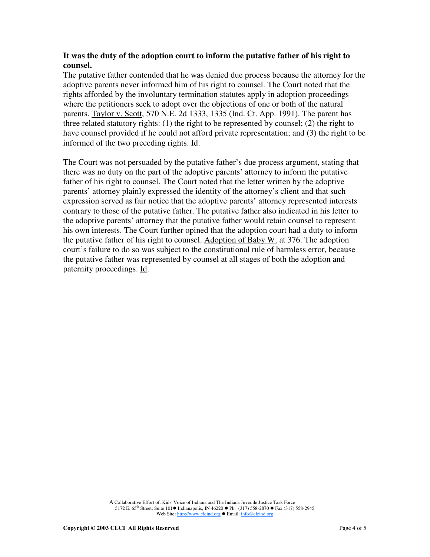## **It was the duty of the adoption court to inform the putative father of his right to counsel.**

The putative father contended that he was denied due process because the attorney for the adoptive parents never informed him of his right to counsel. The Court noted that the rights afforded by the involuntary termination statutes apply in adoption proceedings where the petitioners seek to adopt over the objections of one or both of the natural parents. Taylor v. Scott, 570 N.E. 2d 1333, 1335 (Ind. Ct. App. 1991). The parent has three related statutory rights: (1) the right to be represented by counsel; (2) the right to have counsel provided if he could not afford private representation; and (3) the right to be informed of the two preceding rights. Id.

The Court was not persuaded by the putative father's due process argument, stating that there was no duty on the part of the adoptive parents' attorney to inform the putative father of his right to counsel. The Court noted that the letter written by the adoptive parents' attorney plainly expressed the identity of the attorney's client and that such expression served as fair notice that the adoptive parents' attorney represented interests contrary to those of the putative father. The putative father also indicated in his letter to the adoptive parents' attorney that the putative father would retain counsel to represent his own interests. The Court further opined that the adoption court had a duty to inform the putative father of his right to counsel. Adoption of Baby W. at 376. The adoption court's failure to do so was subject to the constitutional rule of harmless error, because the putative father was represented by counsel at all stages of both the adoption and paternity proceedings. Id.